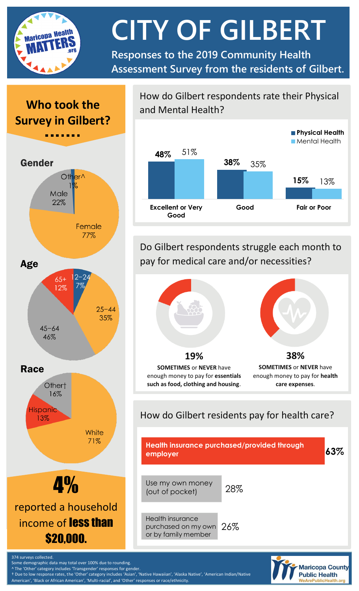

# **CITY OF GILBERT**

**Responses to the 2019 Community Health Assessment Survey from the residents of Gilbert.**

# **Who took the Survey in Gilbert?**



#### How do Gilbert respondents rate their Physical and Mental Health?



Do Gilbert respondents struggle each month to pay for medical care and/or necessities?



### How do Gilbert residents pay for health care?



**Maricopa County Public Health** WeArePublicHealth.c

Some demographic data may total over 100% due to rounding. ^ The 'Other' category includes 'Transgender' responses for gender.

374 surveys collected.

† Due to low response rates, the 'Other' category includes 'Asian', 'Native Hawaiian', 'Alaska Native', 'American Indian/Native American', 'Black or African American', 'Multi-racial', and 'Other' responses or race/ethnicity.